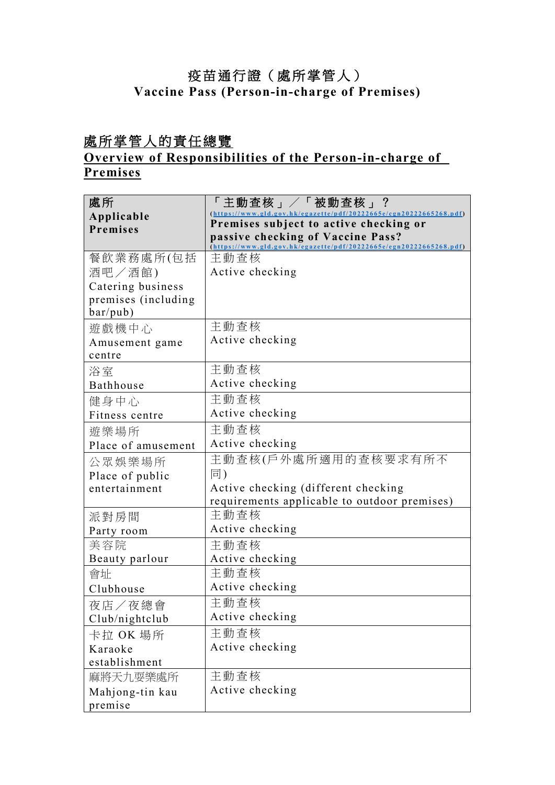## 疫苗通行證(處所掌管人) **Vaccine Pass (Person-in-charge of Premises)**

# 處所掌管人的責任總覽

## **Overview of Responsibilities of the Person-in-charge of Premises**

| 處所<br>Applicable<br>Premises    | 「主動査核」/「被動査核」?<br>(https://www.gld.gov.hk/egazette/pdf/20222665e/cgn20222665268.pdf)<br>Premises subject to active checking or<br>passive checking of Vaccine Pass? |
|---------------------------------|---------------------------------------------------------------------------------------------------------------------------------------------------------------------|
|                                 | (https://www.gld.gov.hk/egazette/pdf/20222665e/egn20222665268.pdf)                                                                                                  |
| 餐飲業務處所(包括                       | 主動查核                                                                                                                                                                |
| 酒吧/酒館)                          | Active checking                                                                                                                                                     |
| Catering business               |                                                                                                                                                                     |
| premises (including<br>bar/pub) |                                                                                                                                                                     |
|                                 | 主動查核                                                                                                                                                                |
| 遊戲機中心                           | Active checking                                                                                                                                                     |
| Amusement game<br>centre        |                                                                                                                                                                     |
|                                 | 主動查核                                                                                                                                                                |
| 浴室<br>Bathhouse                 | Active checking                                                                                                                                                     |
|                                 | 主動查核                                                                                                                                                                |
| 健身中心                            | Active checking                                                                                                                                                     |
| Fitness centre                  |                                                                                                                                                                     |
| 游樂場所                            | 主動查核                                                                                                                                                                |
| Place of amusement              | Active checking                                                                                                                                                     |
| 公眾娛樂場所                          | 主動查核(戶外處所適用的查核要求有所不                                                                                                                                                 |
| Place of public                 | 同)                                                                                                                                                                  |
| entertainment                   | Active checking (different checking                                                                                                                                 |
|                                 | requirements applicable to outdoor premises)                                                                                                                        |
| 派對房間                            | 主動查核                                                                                                                                                                |
| Party room                      | Active checking                                                                                                                                                     |
| 美容院                             | 主動查核                                                                                                                                                                |
| Beauty parlour                  | Active checking                                                                                                                                                     |
| 會址                              | 主動查核                                                                                                                                                                |
| Clubhouse                       | Active checking                                                                                                                                                     |
| 夜店/夜總會                          | 主動查核                                                                                                                                                                |
| Club/nightclub                  | Active checking                                                                                                                                                     |
| 卡拉 OK 場所                        | 主動查核                                                                                                                                                                |
| Karaoke                         | Active checking                                                                                                                                                     |
| establishment                   |                                                                                                                                                                     |
| 麻將天九耍樂處所                        | 主動查核                                                                                                                                                                |
| Mahjong-tin kau                 | Active checking                                                                                                                                                     |
| premise                         |                                                                                                                                                                     |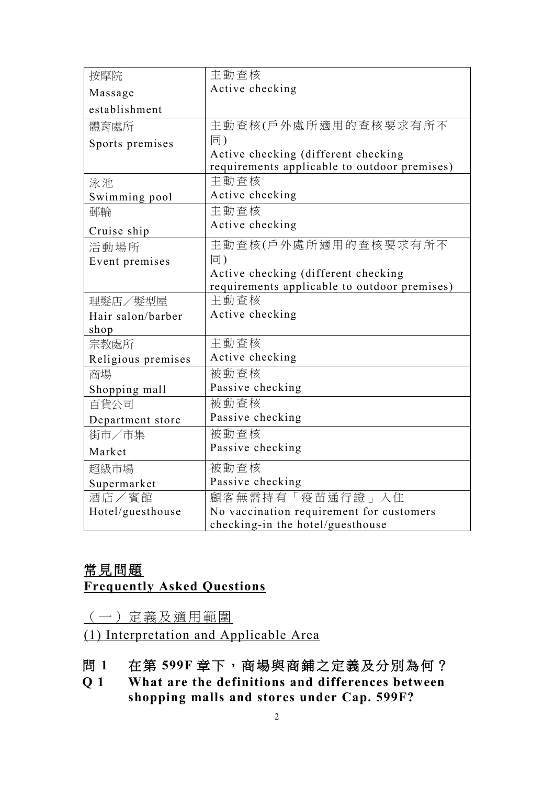| 按摩院                | 主動查核                                         |
|--------------------|----------------------------------------------|
| Massage            | Active checking                              |
| establishment      |                                              |
| 體育處所               | 主動查核(戶外處所適用的查核要求有所不                          |
| Sports premises    | 同)                                           |
|                    | Active checking (different checking          |
|                    | requirements applicable to outdoor premises) |
| 泳池                 | 主動查核                                         |
| Swimming pool      | Active checking                              |
| 郵輪                 | 主動查核                                         |
| Cruise ship        | Active checking                              |
| 活動場所               | 主動查核(戶外處所適用的查核要求有所不                          |
| Event premises     | 同)                                           |
|                    | Active checking (different checking          |
|                    | requirements applicable to outdoor premises) |
| 理髮店/髮型屋            | 主動查核                                         |
| Hair salon/barber  | Active checking                              |
| shop               |                                              |
| 宗教處所               | 主動查核                                         |
| Religious premises | Active checking                              |
| 商場                 | 被動查核                                         |
| Shopping mall      | Passive checking                             |
| 百貨公司               | 被動查核                                         |
| Department store   | Passive checking                             |
| 街市/市集              | 被動查核                                         |
| Market             | Passive checking                             |
| 超級市場               | 被動查核                                         |
| Supermarket        | Passive checking                             |
| 酒店/賓館              | 顧客無需持有「疫苗通行證」入住                              |
| Hotel/guesthouse   | No vaccination requirement for customers     |
|                    | checking-in the hotel/guesthouse             |

## 常見問題 **Frequently Asked Questions**

(一)定義及適用範圍

(1) Interpretation and Applicable Area

- 問 **1** 在第 **599F** 章下,商場與商鋪之定義及分別為何?
- **Q 1 What are the definitions and differences between shopping malls and stores under Cap. 599F?**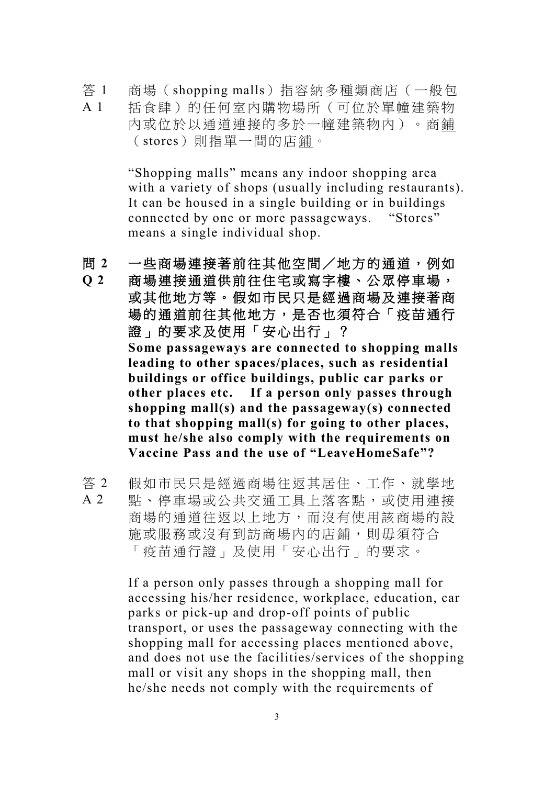答 1 A 1 商場(shopping malls)指容納多種類商店(一般包 括食肆)的任何室內購物場所(可位於單幢建築物 內或位於以通道連接的多於一幢建築物內)。商鋪 (stores)則指單一間的店鋪。

> "Shopping malls" means any indoor shopping area with a variety of shops (usually including restaurants). It can be housed in a single building or in buildings connected by one or more passageways. "Stores" means a single individual shop.

問 **2** 一些商場連接著前往其他空間/地方的通道,例如

- **Q 2** 商場連接通道供前往住宅或寫字樓、公眾停車場, 或其他地方等。假如市民只是經過商場及連接著商 場的通道前往其他地方,是否也須符合「疫苗通行 證」的要求及使用「安心出行」? **Some passageways are connected to shopping malls leading to other spaces/places, such as residential buildings or office buildings, public car parks or other places etc. If a person only passes through shopping mall(s) and the passageway(s) connected to that shopping mall(s) for going to other places, must he/she also comply with the requirements on Vaccine Pass and the use of "LeaveHomeSafe"?**
- 答 2 A 2 假如市民只是經過商場往返其居住、工作、就學地 點、停車場或公共交通工具上落客點,或使用連接 商場的通道往返以上地方,而沒有使用該商場的設 施或服務或沒有到訪商場內的店鋪,則毋須符合 「疫苗通行證」及使用「安心出行」的要求。

If a person only passes through a shopping mall for accessing his/her residence, workplace, education, car parks or pick-up and drop-off points of public transport, or uses the passageway connecting with the shopping mall for accessing places mentioned above, and does not use the facilities/services of the shopping mall or visit any shops in the shopping mall, then he/she needs not comply with the requirements of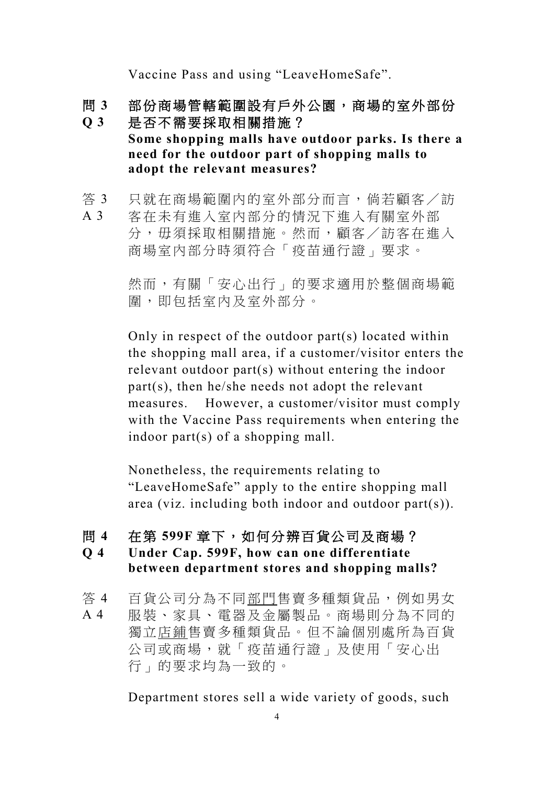Vaccine Pass and using "LeaveHomeSafe".

- 問 **3** 部份商場管轄範圍設有戶外公園,商場的室外部份
- **Q 3** 是否不需要採取相關措施? **Some shopping malls have outdoor parks. Is there a need for the outdoor part of shopping malls to adopt the relevant measures?**
- 答 3 只就在商場範圍內的室外部分而言,倘若顧客/訪
- A 3 客在未有進入室內部分的情況下進入有關室外部 分,毋須採取相關措施。然而,顧客/訪客在進入 商場室內部分時須符合「疫苗通行證」要求。

然而,有關「安心出行」的要求適用於整個商場範 圍,即包括室內及室外部分。

Only in respect of the outdoor part(s) located within the shopping mall area, if a customer/visitor enters the relevant outdoor part(s) without entering the indoor part(s), then he/she needs not adopt the relevant measures. However, a customer/visitor must comply with the Vaccine Pass requirements when entering the indoor part(s) of a shopping mall.

Nonetheless, the requirements relating to "LeaveHomeSafe" apply to the entire shopping mall area (viz. including both indoor and outdoor part(s)).

#### 問 **4** 在第 **599F** 章下,如何分辨百貨公司及商場?

### **Q 4 Under Cap. 599F, how can one differentiate between department stores and shopping malls?**

答 4 百貨公司分為不同部門售賣多種類貨品,例如男女

A 4 服裝、家具、電器及金屬製品。商場則分為不同的 獨立店鋪售賣多種類貨品。但不論個別處所為百貨 公司或商場,就「疫苗通行證」及使用「安心出 行」的要求均為一致的。

Department stores sell a wide variety of goods, such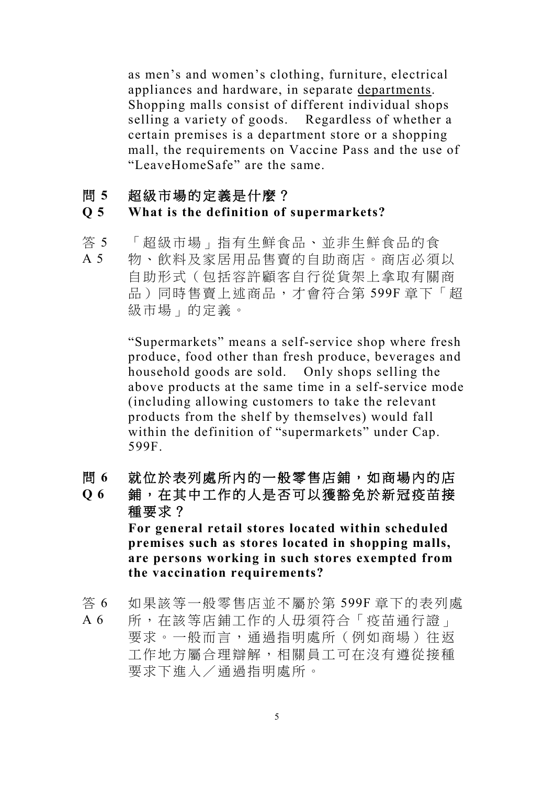as men's and women's clothing, furniture, electrical appliances and hardware, in separate departments. Shopping malls consist of different individual shops selling a variety of goods. Regardless of whether a certain premises is a department store or a shopping mall, the requirements on Vaccine Pass and the use of "LeaveHomeSafe" are the same.

#### 問 **5** 超級市場的定義是什麼?

#### **Q 5 What is the definition of supermarkets?**

- 答 5 「超級市場」指有生鮮食品、並非生鮮食品的食
- A 5 物、飲料及家居用品售賣的自助商店。商店必須以 自助形式(包括容許顧客自行從貨架上拿取有關商 品)同時售賣上述商品,才會符合第 599F 章下「超 級市場」的定義。

"Supermarkets" means a self-service shop where fresh produce, food other than fresh produce, beverages and household goods are sold. Only shops selling the above products at the same time in a self-service mode (including allowing customers to take the relevant products from the shelf by themselves) would fall within the definition of "supermarkets" under Cap. 599F.

問 **6** 就位於表列處所內的一般零售店鋪,如商場內的店

**Q 6** 鋪,在其中工作的人是否可以獲豁免於新冠疫苗接 種要求? **For general retail stores located within scheduled premises such as stores located in shopping malls, are persons working in such stores exempted from the vaccination requirements?**

答 6 如果該等一般零售店並不屬於第 599F 章下的表列處

A 6 所,在該等店鋪工作的人毋須符合「疫苗通行證」 要求。一般而言,通過指明處所(例如商場)往返 工作地方屬合理辯解,相關員工可在沒有遵從接種 要求下進入/通過指明處所。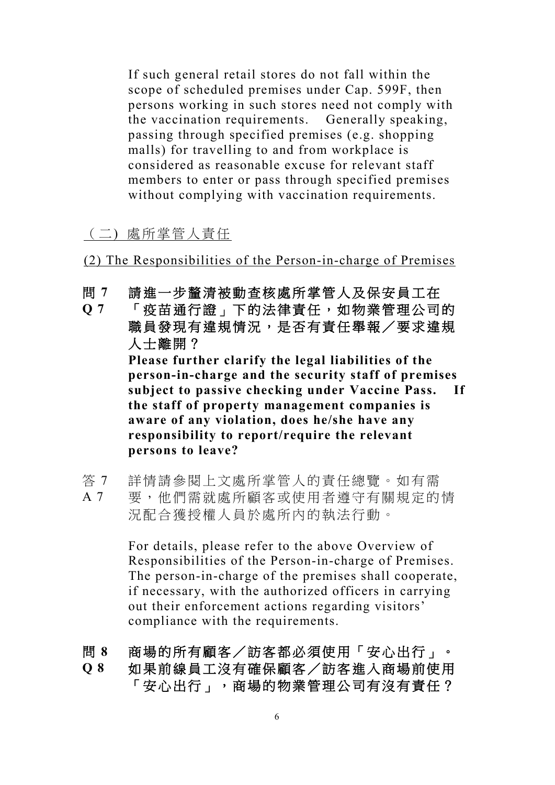If such general retail stores do not fall within the scope of scheduled premises under Cap. 599F, then persons working in such stores need not comply with the vaccination requirements. Generally speaking, passing through specified premises (e.g. shopping malls) for travelling to and from workplace is considered as reasonable excuse for relevant staff members to enter or pass through specified premises without complying with vaccination requirements.

### (二) 處所掌管人責任

(2) The Responsibilities of the Person-in-charge of Premises

問 **7** 請進一步釐清被動查核處所掌管人及保安員工在

**Q 7** 「疫苗通行證」下的法律責任,如物業管理公司的 職員發現有違規情況,是否有責任舉報/要求違規 人士離開? **Please further clarify the legal liabilities of the person-in-charge and the security staff of premises subject to passive checking under Vaccine Pass. If the staff of property management companies is aware of any violation, does he/she have any responsibility to report/require the relevant persons to leave?** 

答 7 詳情請參閱上文處所掌管人的責任總覽。如有需

A 7 要,他們需就處所顧客或使用者遵守有關規定的情 況配合獲授權人員於處所內的執法行動。

> For details, please refer to the above Overview of Responsibilities of the Person-in-charge of Premises. The person-in-charge of the premises shall cooperate, if necessary, with the authorized officers in carrying out their enforcement actions regarding visitors' compliance with the requirements.

問 **8** 商場的所有顧客/訪客都必須使用「安心出行」。

**Q 8** 如果前線員工沒有確保顧客/訪客進入商場前使用 「安心出行」,商場的物業管理公司有沒有責任?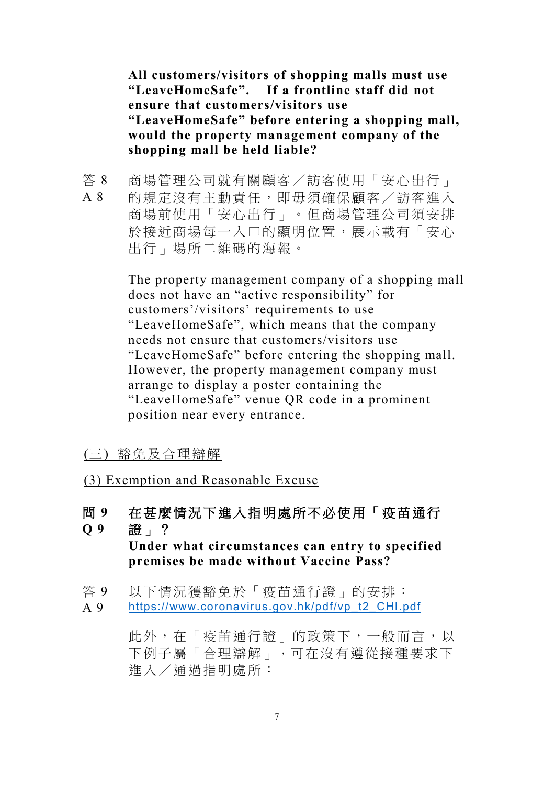**All customers/visitors of shopping malls must use "LeaveHomeSafe". If a frontline staff did not ensure that customers/visitors use "LeaveHomeSafe" before entering a shopping mall, would the property management company of the shopping mall be held liable?**

答 8 A 8 商場管理公司就有關顧客/訪客使用「安心出行」 的規定沒有主動責任,即毋須確保顧客/訪客進入 商場前使用「安心出行」。但商場管理公司須安排 於接近商場每一入口的顯明位置,展示載有「安心 出行」場所二維碼的海報。

> The property management company of a shopping mall does not have an "active responsibility" for customers'/visitors' requirements to use "LeaveHomeSafe", which means that the company needs not ensure that customers/visitors use "LeaveHomeSafe" before entering the shopping mall. However, the property management company must arrange to display a poster containing the "LeaveHomeSafe" venue QR code in a prominent position near every entrance.

### (三) 豁免及合理辯解

(3) Exemption and Reasonable Excuse

- 問 **9** 在甚麼情況下進入指明處所不必使用「疫苗通行
- **Q 9** 證」?

**Under what circumstances can entry to specified premises be made without Vaccine Pass?** 

- 答 9 以下情況獲豁免於「疫苗通行證」的安排:
- A 9 [https://www.coronavirus.gov.hk/pdf/vp\\_t2\\_CHI.pdf](https://www.coronavirus.gov.hk/pdf/vp_t2_CHI.pdf)

此外, 在「疫苗通行證」的政策下, 一般而言, 以 下例子屬「合理辯解」,可在沒有遵從接種要求下 進入/通過指明處所: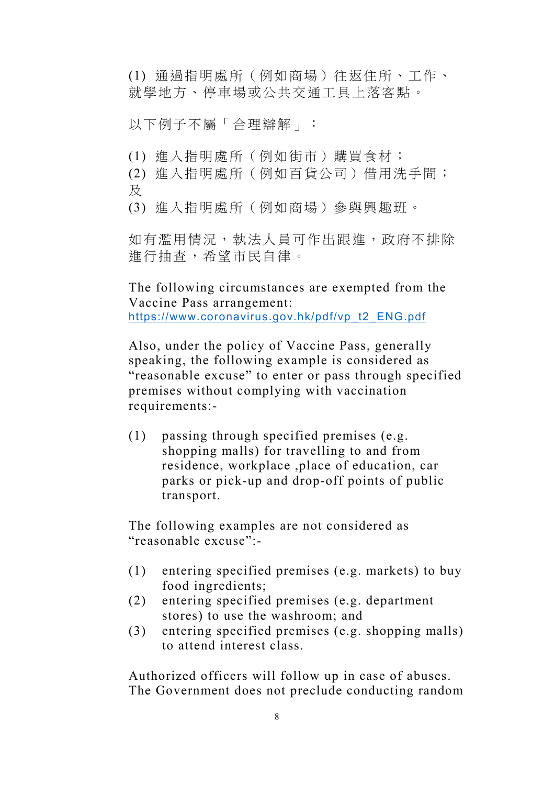(1) 通過指明處所(例如商場)往返住所、工作、 就學地方、停車場或公共交通工具上落客點。

以下例子不屬「合理辯解」:

(1) 進入指明處所(例如街市)購買食材;

(2) 進入指明處所(例如百貨公司)借用洗手間; 及

(3) 進入指明處所(例如商場)參與興趣班。

如有濫用情況,執法人員可作出跟進,政府不排除 進行抽查,希望市民自律。

The following circumstances are exempted from the Vaccine Pass arrangement: [https://www.coronavirus.gov.hk/pdf/vp\\_t2\\_ENG.pdf](https://www.coronavirus.gov.hk/pdf/vp_t2_ENG.pdf)

Also, under the policy of Vaccine Pass, generally speaking, the following example is considered as "reasonable excuse" to enter or pass through specified premises without complying with vaccination requirements:-

(1) passing through specified premises (e.g. shopping malls) for travelling to and from residence, workplace ,place of education, car parks or pick-up and drop-off points of public transport.

The following examples are not considered as "reasonable excuse":-

- (1) entering specified premises (e.g. markets) to buy food ingredients;
- (2) entering specified premises (e.g. department stores) to use the washroom; and
- (3) entering specified premises (e.g. shopping malls) to attend interest class.

Authorized officers will follow up in case of abuses. The Government does not preclude conducting random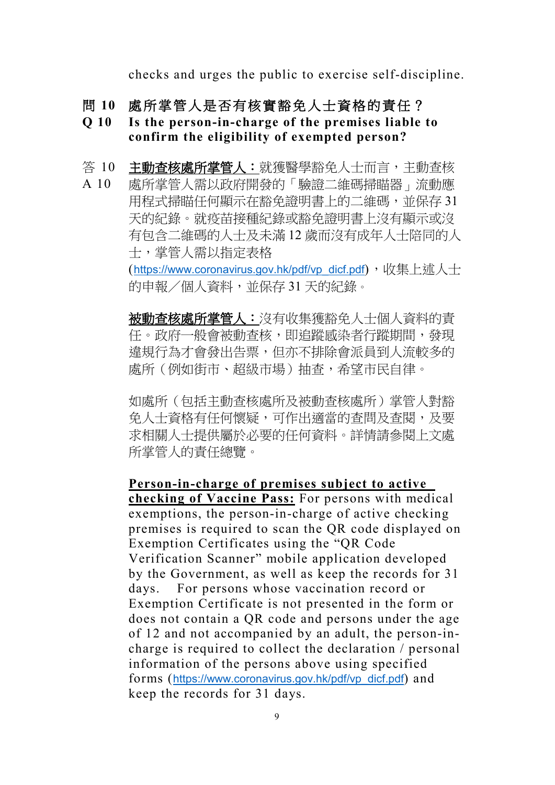checks and urges the public to exercise self-discipline.

- 問 **10** 處所掌管人是否有核實豁免人士資格的責任?
- **Q 10 Is the person-in-charge of the premises liable to confirm the eligibility of exempted person?**
- 答 10 主動查核處所掌管人:就獲醫學豁免人士而言,主動查核
- A 10 處所掌管人需以政府開發的「驗證二維碼掃瞄器」流動應 用程式掃瞄任何顯示在豁免證明書上的二維碼,並保存 31 天的紀錄。就疫苗接種紀錄或豁免證明書上沒有顯示或沒 有包含二維碼的人士及未滿 12 歲而沒有成年人士陪同的人 士,掌管人需以指定表格

([https://www.coronavirus.gov.hk/pdf/vp\\_dicf.pdf](https://www.coronavirus.gov.hk/pdf/vp_dicf.pdf)), 收集上述人士 的申報/個人資料,並保存 31 天的紀錄。

被動查核處所掌管人:沒有收集獲豁免人士個人資料的責 任。政府一般會被動查核,即追蹤感染者行蹤期間,發現 違規行為才會發出告票,但亦不排除會派員到人流較多的 處所(例如街市、超級市場)抽查,希望市民自律。

如處所(包括主動查核處所及被動查核處所)掌管人對豁 免人士資格有任何懷疑,可作出適當的查問及查閱,及要 求相關人士提供屬於必要的任何資料。詳情請參閱上文處 所掌管人的責任總覽。

**Person-in-charge of premises subject to active checking of Vaccine Pass:** For persons with medical exemptions, the person-in-charge of active checking premises is required to scan the QR code displayed on Exemption Certificates using the "QR Code Verification Scanner" mobile application developed by the Government, as well as keep the records for 31 days. For persons whose vaccination record or Exemption Certificate is not presented in the form or does not contain a QR code and persons under the age of 12 and not accompanied by an adult, the person-incharge is required to collect the declaration / personal information of the persons above using specified forms ([https://www.coronavirus.gov.hk/pdf/vp\\_dicf.pdf](https://www.coronavirus.gov.hk/pdf/vp_dicf.pdf)) and keep the records for 31 days.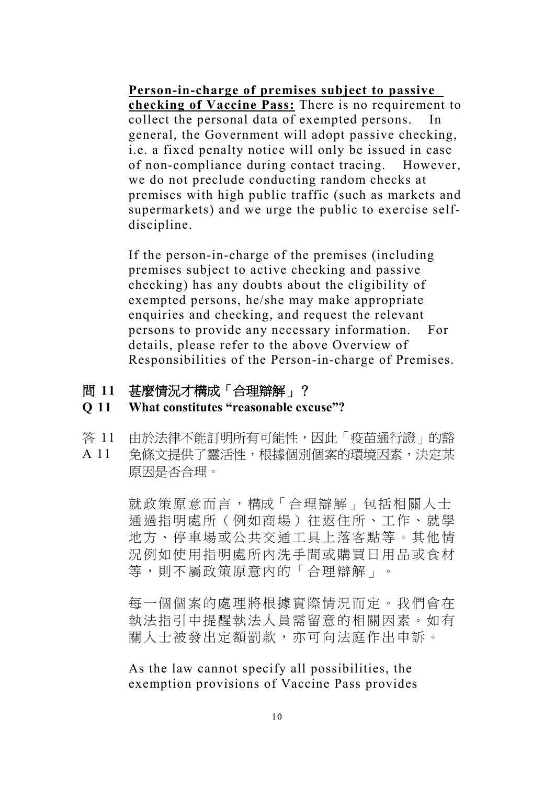**Person-in-charge of premises subject to passive checking of Vaccine Pass:** There is no requirement to collect the personal data of exempted persons. In general, the Government will adopt passive checking, i.e. a fixed penalty notice will only be issued in case of non-compliance during contact tracing. However, we do not preclude conducting random checks at premises with high public traffic (such as markets and supermarkets) and we urge the public to exercise selfdiscipline.

If the person-in-charge of the premises (including premises subject to active checking and passive checking) has any doubts about the eligibility of exempted persons, he/she may make appropriate enquiries and checking, and request the relevant persons to provide any necessary information. For details, please refer to the above Overview of Responsibilities of the Person-in-charge of Premises.

問 **11** 甚麼情況才構成「合理辯解」?

#### **Q 11 What constitutes "reasonable excuse"?**

- 答 11 由於法律不能訂明所有可能性,因此「疫苗通行證」的豁
- A 11 免條文提供了靈活性,根據個別個案的環境因素,決定某 原因是否合理。

就政策原意而言,構成「合理辯解」包括相關人士 通過指明處所(例如商場)往返住所、工作、就學 地方、停車場或公共交通工具上落客點等。其他情 況例如使用指明處所內洗手間或購買日用品或食材 等,則不屬政策原意內的「合理辯解」。

每一個個案的處理將根據實際情況而定。我們會在 執法指引中提醒執法人員需留意的相關因素。如有 關人士被發出定額罰款,亦可向法庭作出申訴。

As the law cannot specify all possibilities, the exemption provisions of Vaccine Pass provides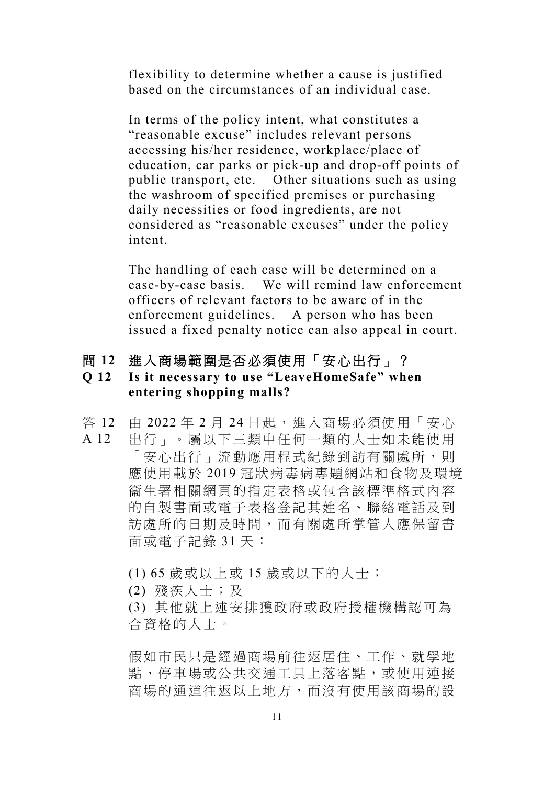flexibility to determine whether a cause is justified based on the circumstances of an individual case.

In terms of the policy intent, what constitutes a "reasonable excuse" includes relevant persons accessing his/her residence, workplace/place of education, car parks or pick-up and drop-off points of public transport, etc. Other situations such as using the washroom of specified premises or purchasing daily necessities or food ingredients, are not considered as "reasonable excuses" under the policy intent.

The handling of each case will be determined on a case-by-case basis. We will remind law enforcement officers of relevant factors to be aware of in the enforcement guidelines. A person who has been issued a fixed penalty notice can also appeal in court.

- 問 **12** 進入商場範圍是否必須使用「安心出行」?
- **Q 12 Is it necessary to use "LeaveHomeSafe" when entering shopping malls?**
- 答 12 由 2022 年 2 月 24 日起,進入商場必須使用「安心
- A 12 出行」。屬以下三類中任何一類的人士如未能使用 「安心出行」流動應用程式紀錄到訪有關處所,則 應使用載於 2019 冠狀病毒病專題網站和食物及環境 衞生署相關網頁的指定表格或包含該標準格式內容 的自製書面或電子表格登記其姓名、聯絡電話及到 訪處所的日期及時間,而有關處所掌管人應保留書 面或電子記錄 31 天:
	- (1) 65 歲或以上或 15 歲或以下的人士;
	- (2) 殘疾人士;及
	- (3) 其他就上述安排獲政府或政府授權機構認可為 合資格的人士。

假如市民只是經過商場前往返居住、工作、就學地 點、停車場或公共交通工具上落客點,或使用連接 商場的通道往返以上地方,而沒有使用該商場的設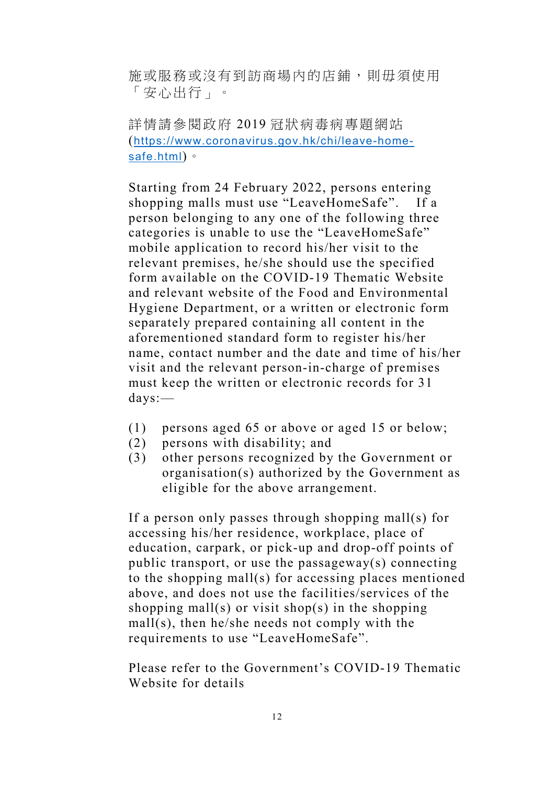施或服務或沒有到訪商場內的店鋪,則毋須使用 「安心出行」。

詳情請參閱政府 2019 冠狀病毒病專題網站 (https://www.coronavirus.gov.hk/chi/leave-homesafe.html)。

Starting from 24 February 2022, persons entering shopping malls must use "LeaveHomeSafe". If a person belonging to any one of the following three categories is unable to use the "LeaveHomeSafe" mobile application to record his/her visit to the relevant premises, he/she should use the specified form available on the COVID-19 Thematic Website and relevant website of the Food and Environmental Hygiene Department, or a written or electronic form separately prepared containing all content in the aforementioned standard form to register his/her name, contact number and the date and time of his/her visit and the relevant person-in-charge of premises must keep the written or electronic records for 31 days:—

- (1) persons aged 65 or above or aged 15 or below;
- (2) persons with disability; and
- (3) other persons recognized by the Government or organisation(s) authorized by the Government as eligible for the above arrangement.

If a person only passes through shopping mall(s) for accessing his/her residence, workplace, place of education, carpark, or pick-up and drop-off points of public transport, or use the passageway(s) connecting to the shopping mall(s) for accessing places mentioned above, and does not use the facilities/services of the shopping mall(s) or visit shop(s) in the shopping mall(s), then he/she needs not comply with the requirements to use "LeaveHomeSafe".

Please refer to the Government's COVID-19 Thematic Website for details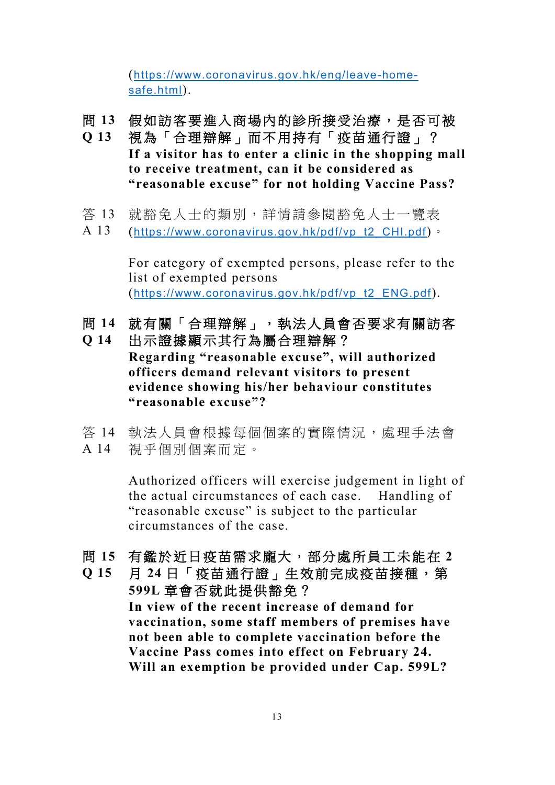(https://www.coronavirus.gov.hk/eng/leave-homesafe.html).

- 問 **13** 假如訪客要進入商場內的診所接受治療,是否可被
- **Q 13** 視為「合理辯解」而不用持有「疫苗通行證」? **If a visitor has to enter a clinic in the shopping mall to receive treatment, can it be considered as "reasonable excuse" for not holding Vaccine Pass?**
- 答 13 就豁免人士的類別,詳情請參閱豁免人士一覽表
- A 13 ([https://www.coronavirus.gov.hk/pdf/vp\\_t2\\_CHI.pdf](https://www.coronavirus.gov.hk/pdf/vp_t2_CHI.pdf))。

For category of exempted persons, please refer to the list of exempted persons ([https://www.coronavirus.gov.hk/pdf/vp\\_t2\\_ENG.pdf](https://www.coronavirus.gov.hk/pdf/vp_t2_ENG.pdf)).

- 問 **14** 就有關「合理辯解」,執法人員會否要求有關訪客
- **Q 14** 出示證據顯示其行為屬合理辯解? **Regarding "reasonable excuse", will authorized officers demand relevant visitors to present evidence showing his/her behaviour constitutes "reasonable excuse"?**
- 答 14 執法人員會根據每個個案的實際情況,處理手法會 A 14 視乎個別個案而定。

Authorized officers will exercise judgement in light of the actual circumstances of each case. Handling of "reasonable excuse" is subject to the particular circumstances of the case.

問 **15** 有鑑於近日疫苗需求龐大,部分處所員工未能在 **2**

**Q 15** 月 **24** 日「疫苗通行證」生效前完成疫苗接種,第 **599L** 章會否就此提供豁免?

**In view of the recent increase of demand for vaccination, some staff members of premises have not been able to complete vaccination before the Vaccine Pass comes into effect on February 24. Will an exemption be provided under Cap. 599L?**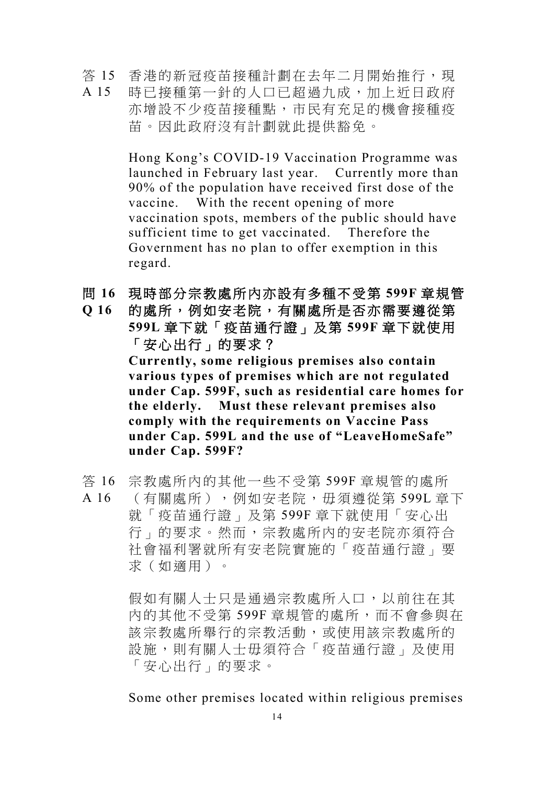答 15 A 15 香港的新冠疫苗接種計劃在去年二月開始推行,現 時已接種第一針的人口已超過九成,加上近日政府 亦增設不少疫苗接種點,市民有充足的機會接種疫 苗。因此政府沒有計劃就此提供豁免。

> Hong Kong's COVID-19 Vaccination Programme was launched in February last year. Currently more than 90% of the population have received first dose of the vaccine. With the recent opening of more vaccination spots, members of the public should have sufficient time to get vaccinated. Therefore the Government has no plan to offer exemption in this regard.

- 問 **16** 現時部分宗教處所內亦設有多種不受第 **599F** 章規管
- **Q 16** 的處所,例如安老院,有關處所是否亦需要遵從第 **599L** 章下就「疫苗通行證」及第 **599F** 章下就使用 「安心出行」的要求? **Currently, some religious premises also contain various types of premises which are not regulated under Cap. 599F, such as residential care homes for the elderly. Must these relevant premises also comply with the requirements on Vaccine Pass under Cap. 599L and the use of "LeaveHomeSafe"**

**under Cap. 599F?**

- 答 16 宗教處所內的其他一些不受第 599F 章規管的處所
- A 16 (有關處所 ),例如安老院,毋須遵從第 599L 章下 就「疫苗通行證」及第 599F 章下就使用「安心出 行」的要求。然而,宗教處所內的安老院亦須符合 社會福利署就所有安老院實施的「疫苗通行證」要 求(如適用)。

假如有關人士只是通過宗教處所入口,以前往在其 內的其他不受第 599F 章規管的處所,而不會參與在 該宗教處所舉行的宗教活動,或使用該宗教處所的 設施,則有關人士毋須符合「疫苗通行證」及使用 「安心出行」的要求。

Some other premises located within religious premises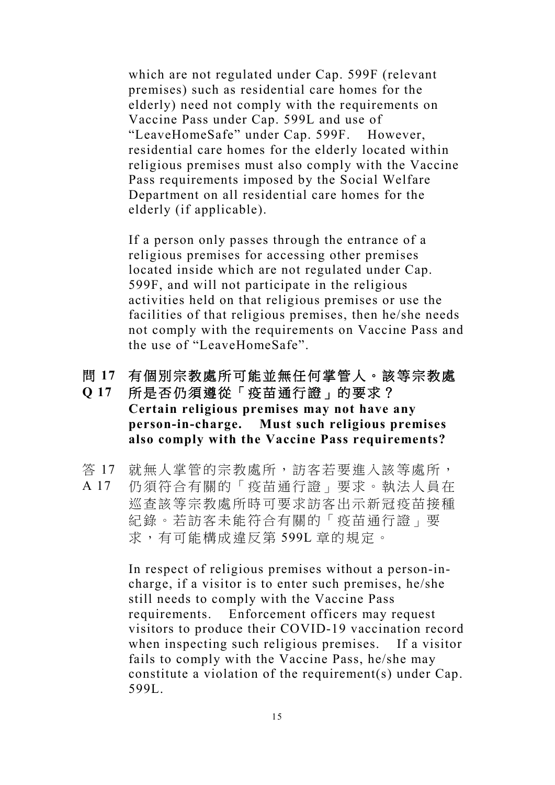which are not regulated under Cap. 599F (relevant premises) such as residential care homes for the elderly) need not comply with the requirements on Vaccine Pass under Cap. 599L and use of "LeaveHomeSafe" under Cap. 599F. However, residential care homes for the elderly located within religious premises must also comply with the Vaccine Pass requirements imposed by the Social Welfare Department on all residential care homes for the elderly (if applicable).

If a person only passes through the entrance of a religious premises for accessing other premises located inside which are not regulated under Cap. 599F, and will not participate in the religious activities held on that religious premises or use the facilities of that religious premises, then he/she needs not comply with the requirements on Vaccine Pass and the use of "LeaveHomeSafe".

#### 問 **17** 有個別宗教處所可能並無任何掌管人。該等宗教處

- **Q 17** 所是否仍須遵從「疫苗通行證」的要求? **Certain religious premises may not have any person-in-charge. Must such religious premises also comply with the Vaccine Pass requirements?**
- 答 17 就無人掌管的宗教處所,訪客若要進入該等處所,
- A 17 仍須符合有關的「疫苗通行證」要求。執法人員在 巡查該等宗教處所時可要求訪客出示新冠疫苗接種 紀錄。若訪客未能符合有關的「疫苗通行證」要 求,有可能構成違反第 599L 章的規定。

In respect of religious premises without a person-incharge, if a visitor is to enter such premises, he/she still needs to comply with the Vaccine Pass requirements. Enforcement officers may request visitors to produce their COVID-19 vaccination record when inspecting such religious premises. If a visitor fails to comply with the Vaccine Pass, he/she may constitute a violation of the requirement(s) under Cap. 599L.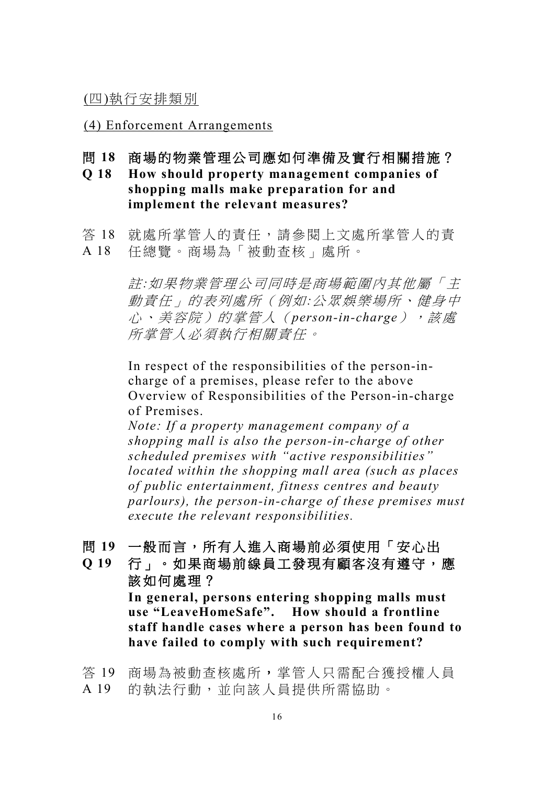(四)執行安排類別

(4) Enforcement Arrangements

- 問 **18** 商場的物業管理公司應如何準備及實行相關措施?
- **Q 18 How should property management companies of shopping malls make preparation for and implement the relevant measures?**
- 答 18 就處所掌管人的責任,請參閱上文處所掌管人的責 A 18 任總覽。商場為「被動查核」處所。

註*:*如果物業管理公司同時是商場範圍內其他屬「主 動責任」的表列處所(例如*:*公眾娛樂場所、健身中 心、美容院)的掌管人(*person-in-charge*),該處 所掌管人必須執行相關責任。

In respect of the responsibilities of the person-incharge of a premises, please refer to the above Overview of Responsibilities of the Person-in-charge of Premises.

*Note: If a property management company of a shopping mall is also the person-in-charge of other scheduled premises with "active responsibilities" located within the shopping mall area (such as places of public entertainment, fitness centres and beauty parlours), the person-in-charge of these premises must execute the relevant responsibilities.*

- 問 **19** 一般而言,所有人進入商場前必須使用「安心出
- **Q 19** 行」。如果商場前線員工發現有顧客沒有遵守,應 該如何處理? **In general, persons entering shopping malls must use "LeaveHomeSafe". How should a frontline staff handle cases where a person has been found to**

**have failed to comply with such requirement?**

答 19 商場為被動查核處所,掌管人只需配合獲授權人員 A 19 的執法行動,並向該人員提供所需協助。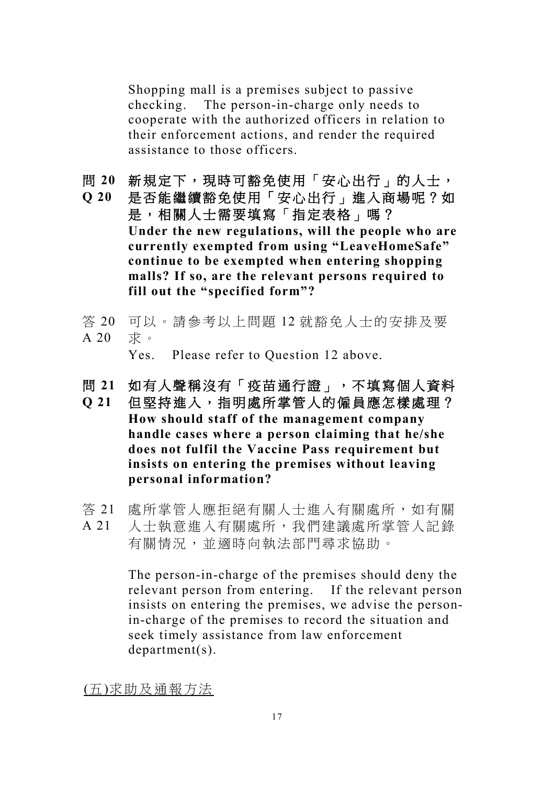Shopping mall is a premises subject to passive checking. The person-in-charge only needs to cooperate with the authorized officers in relation to their enforcement actions, and render the required assistance to those officers.

- 問 20 新規定下,現時可豁免使用「安心出行」的人士,
- **Q 20** 是否能繼續豁免使用「安心出行」進入商場呢?如 是,相關人士需要填寫「指定表格」嗎? **Under the new regulations, will the people who are currently exempted from using "LeaveHomeSafe" continue to be exempted when entering shopping malls? If so, are the relevant persons required to fill out the "specified form"?**
- 答 20 可以。請參考以上問題 12 就豁免人士的安排及要  $A$  20 求。

Yes. Please refer to Question 12 above.

- 問 **21** 如有人聲稱沒有「疫苗通行證」,不填寫個人資料
- **Q 21** 但堅持進入,指明處所掌管人的僱員應怎樣處理? **How should staff of the management company handle cases where a person claiming that he/she does not fulfil the Vaccine Pass requirement but insists on entering the premises without leaving personal information?**
- 答 21 處所掌管人應拒絕有關人士進入有關處所,如有關
- A 21 人士執意進入有關處所,我們建議處所掌管人記錄 有關情況,並適時向執法部門尋求協助。

The person-in-charge of the premises should deny the relevant person from entering. If the relevant person insists on entering the premises, we advise the personin-charge of the premises to record the situation and seek timely assistance from law enforcement department(s).

(五)求助及通報方法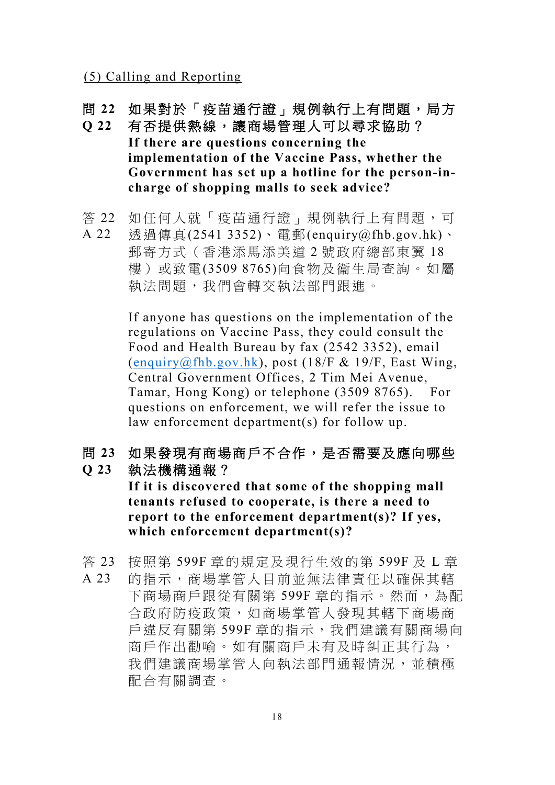(5) Calling and Reporting

- 問 **22** 如果對於「疫苗通行證」規例執行上有問題,局方
- **Q 22** 有否提供熱線,讓商場管理人可以尋求協助? **If there are questions concerning the implementation of the Vaccine Pass, whether the Government has set up a hotline for the person-incharge of shopping malls to seek advice?**
- 答 22 如任何人就「疫苗通行證」規例執行上有問題,可
- A 22 透過傳真(2541 3352)、電郵(enquiry@fhb.gov.hk)、 郵寄方式(香港添馬添美道 2 號政府總部東翼 18 樓)或致電(3509 8765)向食物及衞生局查詢。如屬 執法問題,我們會轉交執法部門跟進。

If anyone has questions on the implementation of the regulations on Vaccine Pass, they could consult the Food and Health Bureau by fax (2542 3352), email  $($ enquiry@fhb.gov.hk), post  $(18/F & 19/F,$  East Wing, Central Government Offices, 2 Tim Mei Avenue, Tamar, Hong Kong) or telephone (3509 8765). For questions on enforcement, we will refer the issue to law enforcement department(s) for follow up.

問 **23** 如果發現有商場商戶不合作,是否需要及應向哪些

**Q 23** 執法機構通報?

> **If it is discovered that some of the shopping mall tenants refused to cooperate, is there a need to report to the enforcement department(s)? If yes, which enforcement department(s)?**

答 23 A 23 按照第 599F 章的規定及現行生效的第 599F 及 L 章 的指示,商場掌管人目前並無法律責任以確保其轄 下商場商戶跟從有關第 599F 章的指示。然而, 為配 合政府防疫政策,如商場掌管人發現其轄下商場商 戶違反有關第 599F 章的指示,我們建議有關商場向 商戶作出勸喻。如有關商戶未有及時糾正其行為, 我們建議商場掌管人向執法部門通報情況,並積極 配合有關調查。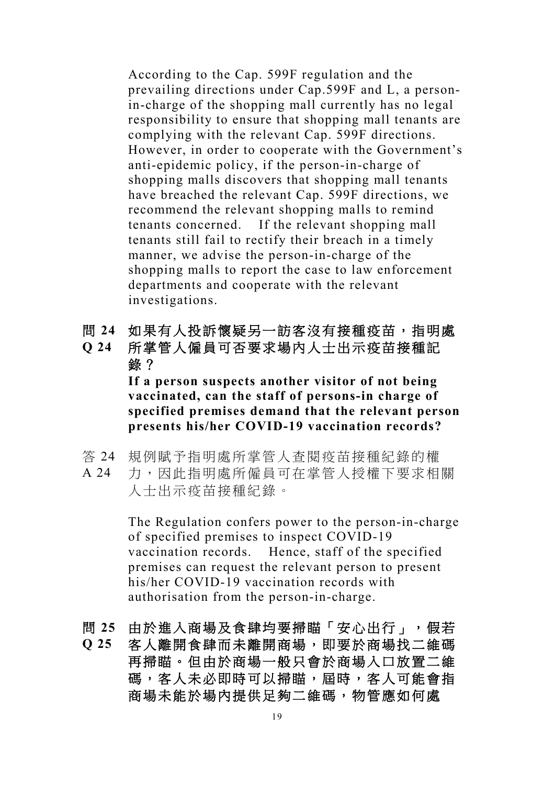According to the Cap. 599F regulation and the prevailing directions under Cap.599F and L, a personin-charge of the shopping mall currently has no legal responsibility to ensure that shopping mall tenants are complying with the relevant Cap. 599F directions. However, in order to cooperate with the Government's anti-epidemic policy, if the person-in-charge of shopping malls discovers that shopping mall tenants have breached the relevant Cap. 599F directions, we recommend the relevant shopping malls to remind tenants concerned. If the relevant shopping mall tenants still fail to rectify their breach in a timely manner, we advise the person-in-charge of the shopping malls to report the case to law enforcement departments and cooperate with the relevant investigations.

- 問 **24** 如果有人投訴懷疑另一訪客沒有接種疫苗,指明處
- **Q 24** 所掌管人僱員可否要求場內人士出示疫苗接種記 錄? **If a person suspects another visitor of not being vaccinated, can the staff of persons-in charge of specified premises demand that the relevant person presents his/her COVID-19 vaccination records?**
- 答 24 規例賦予指明處所掌管人查閱疫苗接種紀錄的權
- A 24 力,因此指明處所僱員可在掌管人授權下要求相關 人士出示疫苗接種紀錄。

The Regulation confers power to the person-in-charge of specified premises to inspect COVID-19 vaccination records. Hence, staff of the specified premises can request the relevant person to present his/her COVID-19 vaccination records with authorisation from the person-in-charge.

- 問 25 由於進入商場及食肆均要掃瞄「安心出行」,假若
- **Q 25** 客人離開食肆而未離開商場,即要於商場找二維碼 再掃瞄。但由於商場一般只會於商場入口放置二維 碼,客人未必即時可以掃瞄,屆時,客人可能會指 商場未能於場內提供足夠二維碼,物管應如何處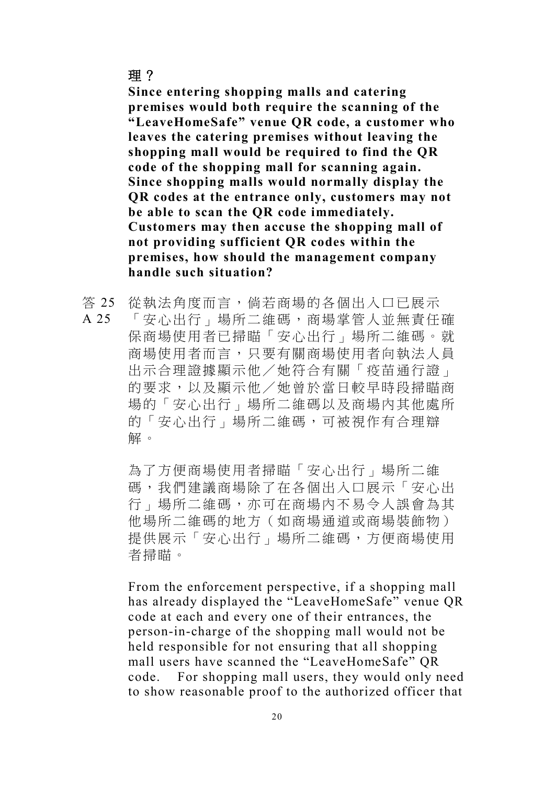**Since entering shopping malls and catering premises would both require the scanning of the "LeaveHomeSafe" venue QR code, a customer who leaves the catering premises without leaving the shopping mall would be required to find the QR code of the shopping mall for scanning again. Since shopping malls would normally display the QR codes at the entrance only, customers may not be able to scan the QR code immediately. Customers may then accuse the shopping mall of not providing sufficient QR codes within the premises, how should the management company handle such situation?**

- 答 25 從執法角度而言,倘若商場的各個出入口已展示
- A 25 「安心出行」場所二維碼,商場掌管人並無責任確 保商場使用者已掃瞄「安心出行」場所二維碼。就 商場使用者而言,只要有關商場使用者向執法人員 出示合理證據顯示他/她符合有關「疫苗通行證」 的要求,以及顯示他/她曾於當日較早時段掃瞄商 場的「安心出行」場所二維碼以及商場內其他處所 的「安心出行」場所二維碼,可被視作有合理辯 解。

為了方便商場使用者掃瞄「安心出行」場所二維 碼,我們建議商場除了在各個出入口展示「安心出 行」場所二維碼,亦可在商場內不易令人誤會為其 他場所二維碼的地方(如商場通道或商場裝飾物) 提供展示「安心出行」場所二維碼,方便商場使用 者掃瞄。

From the enforcement perspective, if a shopping mall has already displayed the "LeaveHomeSafe" venue QR code at each and every one of their entrances, the person-in-charge of the shopping mall would not be held responsible for not ensuring that all shopping mall users have scanned the "LeaveHomeSafe" QR code. For shopping mall users, they would only need to show reasonable proof to the authorized officer that

### 理?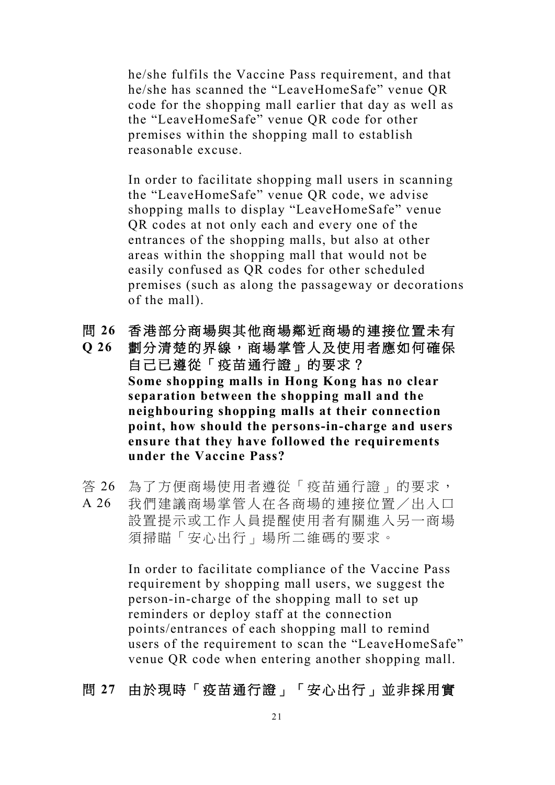he/she fulfils the Vaccine Pass requirement, and that he/she has scanned the "LeaveHomeSafe" venue QR code for the shopping mall earlier that day as well as the "LeaveHomeSafe" venue QR code for other premises within the shopping mall to establish reasonable excuse.

In order to facilitate shopping mall users in scanning the "LeaveHomeSafe" venue QR code, we advise shopping malls to display "LeaveHomeSafe" venue QR codes at not only each and every one of the entrances of the shopping malls, but also at other areas within the shopping mall that would not be easily confused as QR codes for other scheduled premises (such as along the passageway or decorations of the mall).

- 問 **26** 香港部分商場與其他商場鄰近商場的連接位置未有
- **Q 26** 劃分清楚的界線,商場掌管人及使用者應如何確保 自己已遵從「疫苗通行證」的要求? **Some shopping malls in Hong Kong has no clear separation between the shopping mall and the neighbouring shopping malls at their connection point, how should the persons-in-charge and users ensure that they have followed the requirements under the Vaccine Pass?**
- 答 26 為了方便商場使用者遵從「疫苗通行證」的要求,
- A 26 我們建議商場掌管人在各商場的連接位置/出入口 設置提示或工作人員提醒使用者有關進入另一商場 須掃瞄「安心出行」場所二維碼的要求。

In order to facilitate compliance of the Vaccine Pass requirement by shopping mall users, we suggest the person-in-charge of the shopping mall to set up reminders or deploy staff at the connection points/entrances of each shopping mall to remind users of the requirement to scan the "LeaveHomeSafe" venue QR code when entering another shopping mall.

### 問 **27** 由於現時「疫苗通行證」「安心出行」並非採用實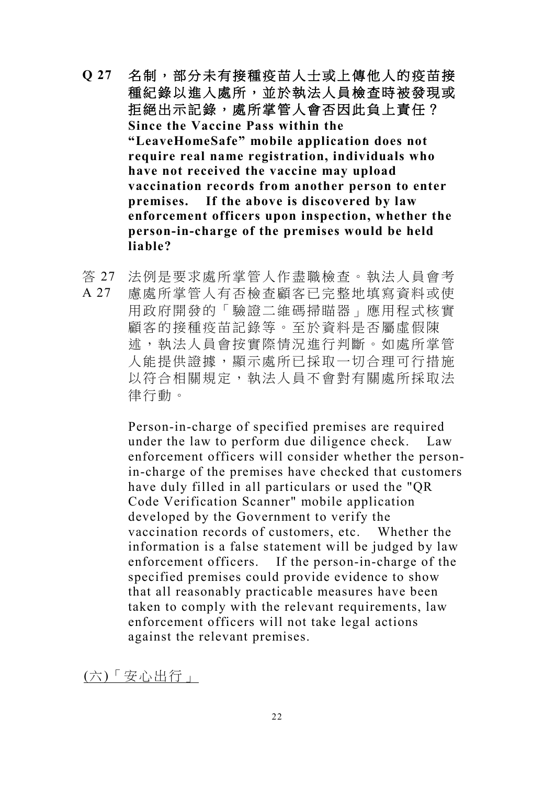- Q 27 名制,部分未有接種疫苗人士或上傳他人的疫苗接 種紀錄以進入處所,並於執法人員檢查時被發現或 拒絕出示記錄,處所掌管人會否因此負上責任? **Since the Vaccine Pass within the "LeaveHomeSafe" mobile application does not require real name registration, individuals who have not received the vaccine may upload vaccination records from another person to enter premises. If the above is discovered by law enforcement officers upon inspection, whether the person-in-charge of the premises would be held liable?**
- 答 27 法例是要求處所掌管人作盡職檢查。執法人員會考
- A 27 慮處所掌管人有否檢查顧客已完整地填寫資料或使 用政府開發的「驗證二維碼掃瞄器」應用程式核實 顧客的接種疫苗記錄等。至於資料是否屬虛假陳 述,執法人員會按實際情況進行判斷。如處所掌管 人能提供證據,顯示處所已採取一切合理可行措施 以符合相關規定,執法人員不會對有關處所採取法 律行動。

Person-in-charge of specified premises are required under the law to perform due diligence check. Law enforcement officers will consider whether the personin-charge of the premises have checked that customers have duly filled in all particulars or used the "QR Code Verification Scanner" mobile application developed by the Government to verify the vaccination records of customers, etc. Whether the information is a false statement will be judged by law enforcement officers. If the person-in-charge of the specified premises could provide evidence to show that all reasonably practicable measures have been taken to comply with the relevant requirements, law enforcement officers will not take legal actions against the relevant premises.

(六)「安心出行」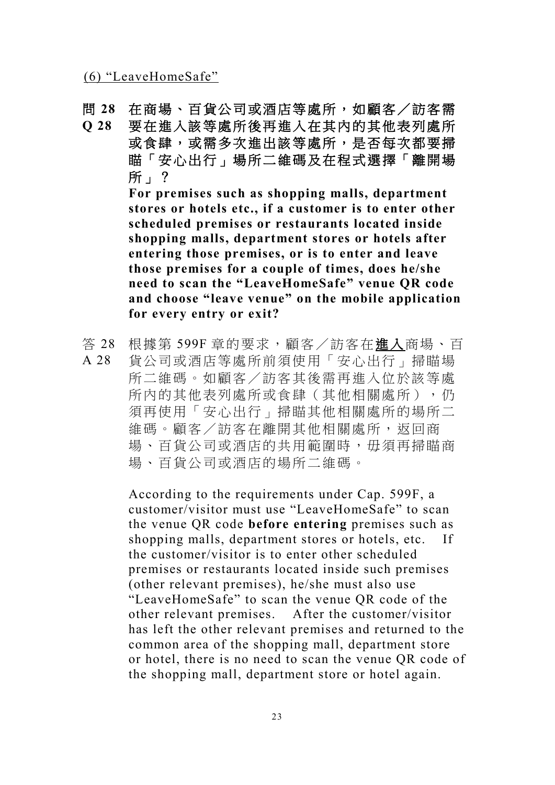(6) "LeaveHomeSafe"

- 問 **28** 在商場、百貨公司或酒店等處所,如顧客/訪客需
- **Q 28** 要在進入該等處所後再進入在其內的其他表列處所 或食肆,或需多次進出該等處所,是否每次都要掃 瞄「安心出行」場所二維碼及在程式選擇「離開場 所」?

**For premises such as shopping malls, department stores or hotels etc., if a customer is to enter other scheduled premises or restaurants located inside shopping malls, department stores or hotels after entering those premises, or is to enter and leave those premises for a couple of times, does he/she need to scan the "LeaveHomeSafe" venue QR code and choose "leave venue" on the mobile application for every entry or exit?**

- 答 28 根據第 599F 章的要求,顧客/訪客在進入商場、百
- A 28 貨公司或酒店等處所前須使用「安心出行」掃瞄場 所二維碼。如顧客/訪客其後需再進入位於該等處 所内的其他表列處所或食肆(其他相關處所),仍 須再使用「安心出行」掃瞄其他相關處所的場所二 維碼。顧客/訪客在離開其他相關處所,返回商 場、百貨公司或洒店的共用範圍時, 毋須再掃瞄商 場、百貨公司或酒店的場所二維碼。

According to the requirements under Cap. 599F, a customer/visitor must use "LeaveHomeSafe" to scan the venue QR code **before entering** premises such as shopping malls, department stores or hotels, etc. If the customer/visitor is to enter other scheduled premises or restaurants located inside such premises (other relevant premises), he/she must also use "LeaveHomeSafe" to scan the venue QR code of the other relevant premises. After the customer/visitor has left the other relevant premises and returned to the common area of the shopping mall, department store or hotel, there is no need to scan the venue QR code of the shopping mall, department store or hotel again.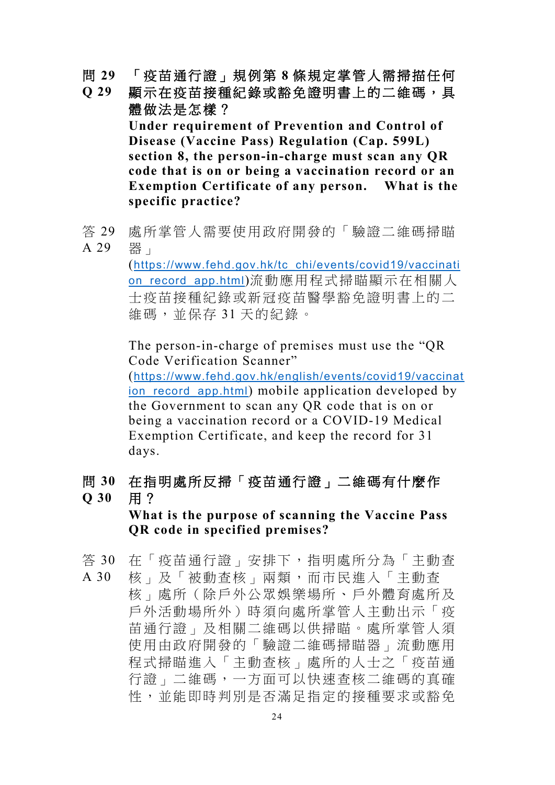- 問 **29** 「疫苗通行證」規例第 **8** 條規定掌管人需掃描任何
- **Q 29** 顯示在疫苗接種紀錄或豁免證明書上的二維碼,具 體做法是怎樣? **Under requirement of Prevention and Control of Disease (Vaccine Pass) Regulation (Cap. 599L) section 8, the person-in-charge must scan any QR code that is on or being a vaccination record or an Exemption Certificate of any person. What is the specific practice?**
- 答 29 A 29 處所掌管人需要使用政府開發的「驗證二維碼掃瞄 器」

(https://www.fehd.gov.hk/tc\_chi/events/covid19/vaccinati on\_record\_app.html)流動應用程式掃瞄顯示在相關人 士疫苗接種紀錄或新冠疫苗醫學豁免證明書上的二 維碼,並保存 31 天的紀錄。

The person-in-charge of premises must use the "QR Code Verification Scanner"

(https://www.fehd.gov.hk/english/events/covid19/vaccinat ion record app.html) mobile application developed by the Government to scan any QR code that is on or being a vaccination record or a COVID-19 Medical Exemption Certificate, and keep the record for 31 days.

問 **30 Q 30** 在指明處所反掃「疫苗通行證」二維碼有什麼作 用?

> **What is the purpose of scanning the Vaccine Pass QR code in specified premises?**

- 答 30 在「疫苗通行證」安排下,指明處所分為「主動查 A 30 核」及「被動查核」兩類,而市民進入「主動查
- 核」處所(除戶外公眾娛樂場所、戶外體育處所及 戶外活動場所外)時須向處所掌管人主動出示「疫 苗通行證」及相關二維碼以供掃瞄。處所掌管人須 使用由政府開發的「驗證二維碼掃瞄器」流動應用 程式掃瞄進入「主動查核」處所的人士之「疫苗通 行證」二維碼,一方面可以快速查核二維碼的真確 性,並能即時判別是否滿足指定的接種要求或豁免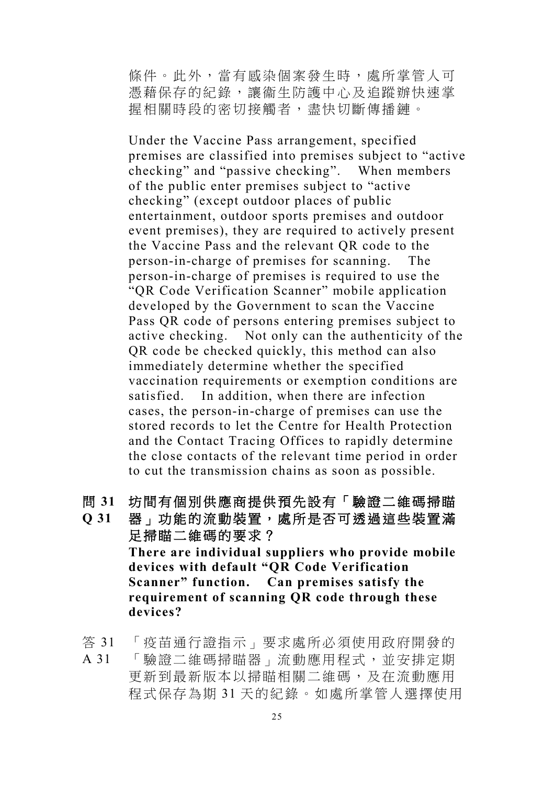條件。此外,當有感染個案發生時,處所掌管人可 憑藉保存的紀錄,讓衞生防護中心及追蹤辦快速掌 握相關時段的密切接觸者,盡快切斷傳播鏈。

Under the Vaccine Pass arrangement, specified premises are classified into premises subject to "active checking" and "passive checking". When members of the public enter premises subject to "active checking" (except outdoor places of public entertainment, outdoor sports premises and outdoor event premises), they are required to actively present the Vaccine Pass and the relevant QR code to the person-in-charge of premises for scanning. The person-in-charge of premises is required to use the "QR Code Verification Scanner" mobile application developed by the Government to scan the Vaccine Pass QR code of persons entering premises subject to active checking. Not only can the authenticity of the QR code be checked quickly, this method can also immediately determine whether the specified vaccination requirements or exemption conditions are satisfied. In addition, when there are infection cases, the person-in-charge of premises can use the stored records to let the Centre for Health Protection and the Contact Tracing Offices to rapidly determine the close contacts of the relevant time period in order to cut the transmission chains as soon as possible.

- 問 **31** 坊間有個別供應商提供預先設有「驗證二維碼掃瞄
- **Q 31** 器」功能的流動裝置,處所是否可透過這些裝置滿 足掃瞄二維碼的要求? **There are individual suppliers who provide mobile devices with default "QR Code Verification Scanner" function. Can premises satisfy the requirement of scanning QR code through these devices?**
- 答 31 「疫苗通行證指示」要求處所必須使用政府開發的
- A 31 「驗證二維碼掃瞄器」流動應用程式,並安排定期 更新到最新版本以掃瞄相關二維碼,及在流動應用 程式保存為期 31 天的紀錄。如處所掌管人選擇使用